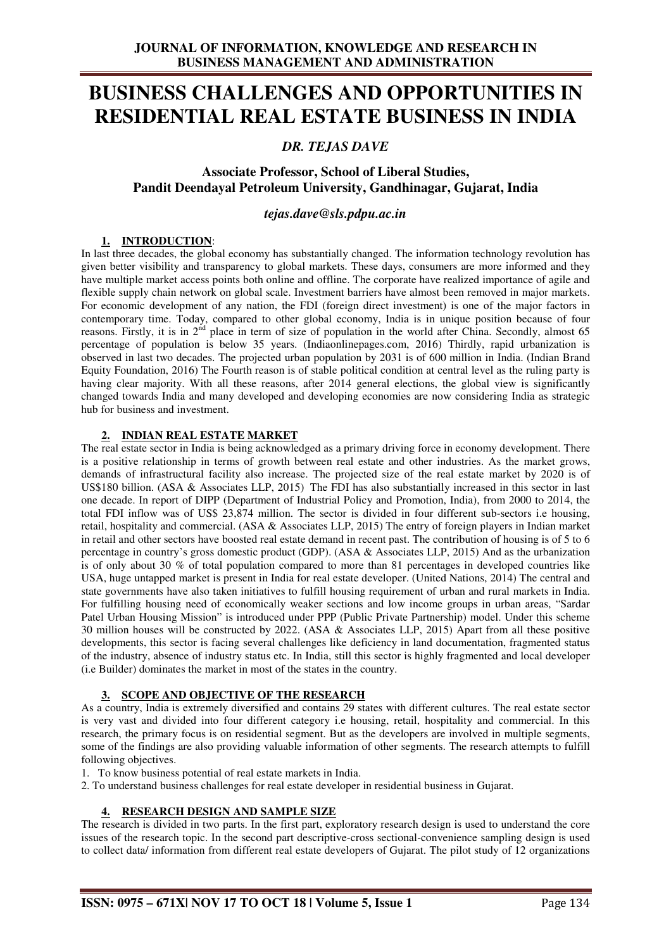# **BUSINESS CHALLENGES AND OPPORTUNITIES IN RESIDENTIAL REAL ESTATE BUSINESS IN INDIA**

## *DR. TEJAS DAVE*

## **Associate Professor, School of Liberal Studies, Pandit Deendayal Petroleum University, Gandhinagar, Gujarat, India**

#### *tejas.dave@sls.pdpu.ac.in*

#### **1. INTRODUCTION**:

In last three decades, the global economy has substantially changed. The information technology revolution has given better visibility and transparency to global markets. These days, consumers are more informed and they have multiple market access points both online and offline. The corporate have realized importance of agile and flexible supply chain network on global scale. Investment barriers have almost been removed in major markets. For economic development of any nation, the FDI (foreign direct investment) is one of the major factors in contemporary time. Today, compared to other global economy, India is in unique position because of four reasons. Firstly, it is in 2<sup>nd</sup> place in term of size of population in the world after China. Secondly, almost 65 percentage of population is below 35 years. (Indiaonlinepages.com, 2016) Thirdly, rapid urbanization is observed in last two decades. The projected urban population by 2031 is of 600 million in India. (Indian Brand Equity Foundation, 2016) The Fourth reason is of stable political condition at central level as the ruling party is having clear majority. With all these reasons, after 2014 general elections, the global view is significantly changed towards India and many developed and developing economies are now considering India as strategic hub for business and investment.

#### **2. INDIAN REAL ESTATE MARKET**

The real estate sector in India is being acknowledged as a primary driving force in economy development. There is a positive relationship in terms of growth between real estate and other industries. As the market grows, demands of infrastructural facility also increase. The projected size of the real estate market by 2020 is of US\$180 billion. (ASA & Associates LLP, 2015) The FDI has also substantially increased in this sector in last one decade. In report of DIPP (Department of Industrial Policy and Promotion, India), from 2000 to 2014, the total FDI inflow was of US\$ 23,874 million. The sector is divided in four different sub-sectors i.e housing, retail, hospitality and commercial. (ASA & Associates LLP, 2015) The entry of foreign players in Indian market in retail and other sectors have boosted real estate demand in recent past. The contribution of housing is of 5 to 6 percentage in country's gross domestic product (GDP). (ASA & Associates LLP, 2015) And as the urbanization is of only about 30 % of total population compared to more than 81 percentages in developed countries like USA, huge untapped market is present in India for real estate developer. (United Nations, 2014) The central and state governments have also taken initiatives to fulfill housing requirement of urban and rural markets in India. For fulfilling housing need of economically weaker sections and low income groups in urban areas, "Sardar Patel Urban Housing Mission" is introduced under PPP (Public Private Partnership) model. Under this scheme 30 million houses will be constructed by 2022. (ASA & Associates LLP, 2015) Apart from all these positive developments, this sector is facing several challenges like deficiency in land documentation, fragmented status of the industry, absence of industry status etc. In India, still this sector is highly fragmented and local developer (i.e Builder) dominates the market in most of the states in the country.

#### **3. SCOPE AND OBJECTIVE OF THE RESEARCH**

As a country, India is extremely diversified and contains 29 states with different cultures. The real estate sector is very vast and divided into four different category i.e housing, retail, hospitality and commercial. In this research, the primary focus is on residential segment. But as the developers are involved in multiple segments, some of the findings are also providing valuable information of other segments. The research attempts to fulfill following objectives.

1. To know business potential of real estate markets in India.

2. To understand business challenges for real estate developer in residential business in Gujarat.

#### **4. RESEARCH DESIGN AND SAMPLE SIZE**

The research is divided in two parts. In the first part, exploratory research design is used to understand the core issues of the research topic. In the second part descriptive-cross sectional-convenience sampling design is used to collect data/ information from different real estate developers of Gujarat. The pilot study of 12 organizations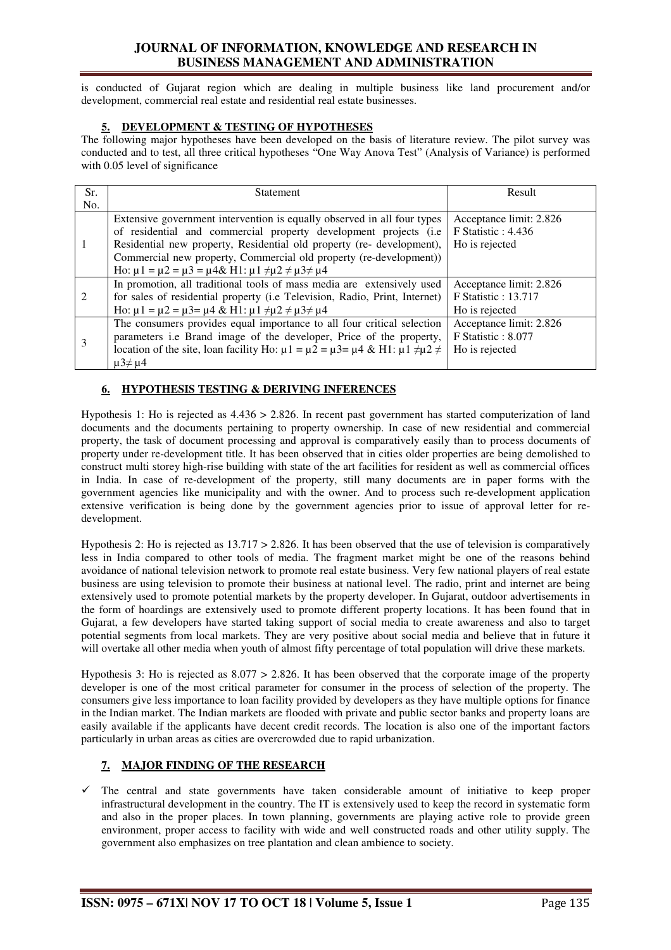## **JOURNAL OF INFORMATION, KNOWLEDGE AND RESEARCH IN BUSINESS MANAGEMENT AND ADMINISTRATION**

is conducted of Gujarat region which are dealing in multiple business like land procurement and/or development, commercial real estate and residential real estate businesses.

#### **5. DEVELOPMENT & TESTING OF HYPOTHESES**

The following major hypotheses have been developed on the basis of literature review. The pilot survey was conducted and to test, all three critical hypotheses "One Way Anova Test" (Analysis of Variance) is performed with 0.05 level of significance

| Sr.                         | Statement                                                                                                                                                                                                                                                                                  | Result                                                           |
|-----------------------------|--------------------------------------------------------------------------------------------------------------------------------------------------------------------------------------------------------------------------------------------------------------------------------------------|------------------------------------------------------------------|
| No.                         |                                                                                                                                                                                                                                                                                            |                                                                  |
|                             | Extensive government intervention is equally observed in all four types<br>of residential and commercial property development projects (i.e.<br>Residential new property, Residential old property (re- development),                                                                      | Acceptance limit: 2.826<br>F Statistic: 4.436<br>Ho is rejected  |
|                             | Commercial new property, Commercial old property (re-development))<br>Ho: $\mu$ 1 = $\mu$ 2 = $\mu$ 3 = $\mu$ 4& H1: $\mu$ 1 $\neq \mu$ 2 $\neq \mu$ 3 $\neq \mu$ 4                                                                                                                        |                                                                  |
| $\mathcal{D}_{\mathcal{L}}$ | In promotion, all traditional tools of mass media are extensively used<br>for sales of residential property (i.e Television, Radio, Print, Internet)<br>Ho: $\mu$ 1 = $\mu$ 2 = $\mu$ 3 = $\mu$ 4 & H1: $\mu$ 1 $\neq \mu$ 2 $\neq \mu$ 3 $\neq \mu$ 4                                     | Acceptance limit: 2.826<br>F Statistic: 13.717<br>Ho is rejected |
| 3                           | The consumers provides equal importance to all four critical selection<br>parameters i.e Brand image of the developer, Price of the property,<br>location of the site, loan facility Ho: $\mu$ 1 = $\mu$ 2 = $\mu$ 3 = $\mu$ 4 & H1: $\mu$ 1 $\neq \mu$ 2 $\neq$<br>$\mu$ 3 $\neq$ $\mu$ 4 | Acceptance limit: 2.826<br>F Statistic: 8.077<br>Ho is rejected  |

#### **6. HYPOTHESIS TESTING & DERIVING INFERENCES**

Hypothesis 1: Ho is rejected as 4.436 > 2.826. In recent past government has started computerization of land documents and the documents pertaining to property ownership. In case of new residential and commercial property, the task of document processing and approval is comparatively easily than to process documents of property under re-development title. It has been observed that in cities older properties are being demolished to construct multi storey high-rise building with state of the art facilities for resident as well as commercial offices in India. In case of re-development of the property, still many documents are in paper forms with the government agencies like municipality and with the owner. And to process such re-development application extensive verification is being done by the government agencies prior to issue of approval letter for redevelopment.

Hypothesis 2: Ho is rejected as 13.717 > 2.826. It has been observed that the use of television is comparatively less in India compared to other tools of media. The fragment market might be one of the reasons behind avoidance of national television network to promote real estate business. Very few national players of real estate business are using television to promote their business at national level. The radio, print and internet are being extensively used to promote potential markets by the property developer. In Gujarat, outdoor advertisements in the form of hoardings are extensively used to promote different property locations. It has been found that in Gujarat, a few developers have started taking support of social media to create awareness and also to target potential segments from local markets. They are very positive about social media and believe that in future it will overtake all other media when youth of almost fifty percentage of total population will drive these markets.

Hypothesis 3: Ho is rejected as 8.077 > 2.826. It has been observed that the corporate image of the property developer is one of the most critical parameter for consumer in the process of selection of the property. The consumers give less importance to loan facility provided by developers as they have multiple options for finance in the Indian market. The Indian markets are flooded with private and public sector banks and property loans are easily available if the applicants have decent credit records. The location is also one of the important factors particularly in urban areas as cities are overcrowded due to rapid urbanization.

#### **7. MAJOR FINDING OF THE RESEARCH**

 $\checkmark$  The central and state governments have taken considerable amount of initiative to keep proper infrastructural development in the country. The IT is extensively used to keep the record in systematic form and also in the proper places. In town planning, governments are playing active role to provide green environment, proper access to facility with wide and well constructed roads and other utility supply. The government also emphasizes on tree plantation and clean ambience to society.